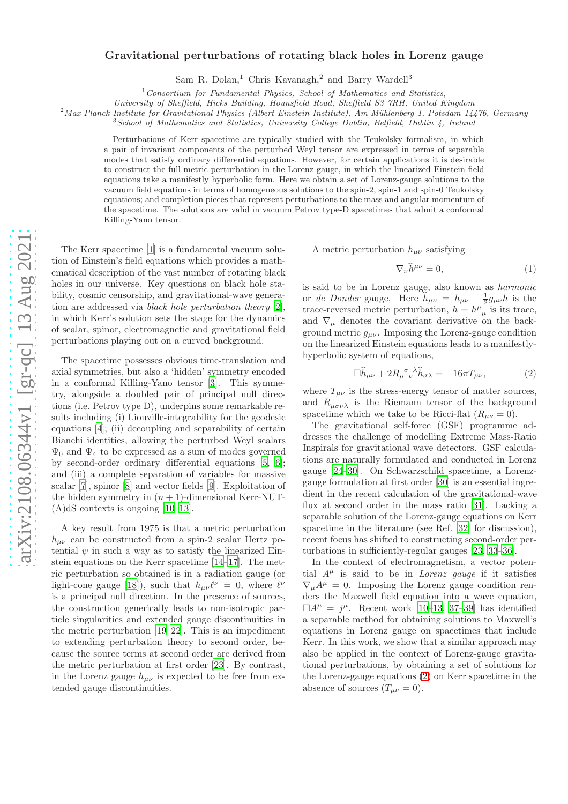## arXiv:2108.06344v1 [gr-qc] 13 Aug 2021 [arXiv:2108.06344v1 \[gr-qc\] 13 Aug 2021](http://arxiv.org/abs/2108.06344v1)

## Gravitational perturbations of rotating black holes in Lorenz gauge

Sam R. Dolan,<sup>1</sup> Chris Kavanagh,<sup>2</sup> and Barry Wardell<sup>3</sup>

 $1$  Consortium for Fundamental Physics, School of Mathematics and Statistics,

University of Sheffield, Hicks Building, Hounsfield Road, Sheffield S3 7RH, United Kingdom

 $2$ Max Planck Institute for Gravitational Physics (Albert Einstein Institute), Am Mühlenberg 1, Potsdam 14476, Germany

 $3$ School of Mathematics and Statistics, University College Dublin, Belfield, Dublin 4, Ireland

Perturbations of Kerr spacetime are typically studied with the Teukolsky formalism, in which a pair of invariant components of the perturbed Weyl tensor are expressed in terms of separable modes that satisfy ordinary differential equations. However, for certain applications it is desirable to construct the full metric perturbation in the Lorenz gauge, in which the linearized Einstein field equations take a manifestly hyperbolic form. Here we obtain a set of Lorenz-gauge solutions to the vacuum field equations in terms of homogeneous solutions to the spin-2, spin-1 and spin-0 Teukolsky equations; and completion pieces that represent perturbations to the mass and angular momentum of the spacetime. The solutions are valid in vacuum Petrov type-D spacetimes that admit a conformal Killing-Yano tensor.

The Kerr spacetime [\[1\]](#page-4-0) is a fundamental vacuum solution of Einstein's field equations which provides a mathematical description of the vast number of rotating black holes in our universe. Key questions on black hole stability, cosmic censorship, and gravitational-wave generation are addressed via black hole perturbation theory [\[2\]](#page-4-1), in which Kerr's solution sets the stage for the dynamics of scalar, spinor, electromagnetic and gravitational field perturbations playing out on a curved background.

The spacetime possesses obvious time-translation and axial symmetries, but also a 'hidden' symmetry encoded in a conformal Killing-Yano tensor [\[3](#page-4-2)]. This symmetry, alongside a doubled pair of principal null directions (i.e. Petrov type D), underpins some remarkable results including (i) Liouville-integrability for the geodesic equations [\[4\]](#page-4-3); (ii) decoupling and separability of certain Bianchi identities, allowing the perturbed Weyl scalars  $\Psi_0$  and  $\Psi_4$  to be expressed as a sum of modes governed by second-order ordinary differential equations [\[5](#page-4-4), [6\]](#page-4-5); and (iii) a complete separation of variables for massive scalar [\[7\]](#page-4-6), spinor [\[8](#page-4-7)] and vector fields [\[9\]](#page-4-8). Exploitation of the hidden symmetry in  $(n + 1)$ -dimensional Kerr-NUT- $(A)dS$  contexts is ongoing [\[10](#page-4-9)[–13\]](#page-4-10).

A key result from 1975 is that a metric perturbation  $h_{\mu\nu}$  can be constructed from a spin-2 scalar Hertz potential  $\psi$  in such a way as to satisfy the linearized Einstein equations on the Kerr spacetime [\[14](#page-4-11)[–17\]](#page-4-12). The metric perturbation so obtained is in a radiation gauge (or light-cone gauge [\[18](#page-4-13)]), such that  $h_{\mu\nu}\ell^{\nu} = 0$ , where  $\ell^{\nu}$ is a principal null direction. In the presence of sources, the construction generically leads to non-isotropic particle singularities and extended gauge discontinuities in the metric perturbation [\[19](#page-4-14)[–22](#page-4-15)]. This is an impediment to extending perturbation theory to second order, because the source terms at second order are derived from the metric perturbation at first order [\[23](#page-4-16)]. By contrast, in the Lorenz gauge  $h_{\mu\nu}$  is expected to be free from extended gauge discontinuities.

A metric perturbation  $h_{\mu\nu}$  satisfying

<span id="page-0-1"></span><span id="page-0-0"></span>
$$
\nabla_{\nu}\widehat{h}^{\mu\nu} = 0,\tag{1}
$$

is said to be in Lorenz gauge, also known as harmonic or de Donder gauge. Here  $\hat{h}_{\mu\nu} = h_{\mu\nu} - \frac{1}{2}g_{\mu\nu}h$  is the trace-reversed metric perturbation,  $h = h^{\mu}_{\mu}$  is its trace, and  $\nabla_{\mu}$  denotes the covariant derivative on the background metric  $g_{\mu\nu}$ . Imposing the Lorenz-gauge condition on the linearized Einstein equations leads to a manifestlyhyperbolic system of equations,

$$
\Box \widehat{h}_{\mu\nu} + 2R_{\mu \ \nu}^{\ \sigma}{}^{\lambda} \widehat{h}_{\sigma\lambda} = -16\pi T_{\mu\nu},\tag{2}
$$

where  $T_{\mu\nu}$  is the stress-energy tensor of matter sources, and  $R_{\mu\sigma\nu\lambda}$  is the Riemann tensor of the background spacetime which we take to be Ricci-flat  $(R_{\mu\nu} = 0)$ .

The gravitational self-force (GSF) programme addresses the challenge of modelling Extreme Mass-Ratio Inspirals for gravitational wave detectors. GSF calculations are naturally formulated and conducted in Lorenz gauge [\[24](#page-4-17)[–30](#page-4-18)]. On Schwarzschild spacetime, a Lorenzgauge formulation at first order [\[30\]](#page-4-18) is an essential ingredient in the recent calculation of the gravitational-wave flux at second order in the mass ratio [\[31\]](#page-4-19). Lacking a separable solution of the Lorenz-gauge equations on Kerr spacetime in the literature (see Ref. [\[32](#page-4-20)] for discussion), recent focus has shifted to constructing second-order perturbations in sufficiently-regular gauges [\[23,](#page-4-16) [33](#page-4-21)[–36\]](#page-4-22).

In the context of electromagnetism, a vector potential  $A^{\mu}$  is said to be in *Lorenz gauge* if it satisfies  $\nabla_{\mu}A^{\mu} = 0$ . Imposing the Lorenz gauge condition renders the Maxwell field equation into a wave equation,  $\Box A^{\mu} = j^{\mu}$ . Recent work [\[10](#page-4-9)[–13,](#page-4-10) [37](#page-4-23)[–39\]](#page-4-24) has identified a separable method for obtaining solutions to Maxwell's equations in Lorenz gauge on spacetimes that include Kerr. In this work, we show that a similar approach may also be applied in the context of Lorenz-gauge gravitational perturbations, by obtaining a set of solutions for the Lorenz-gauge equations [\(2\)](#page-0-0) on Kerr spacetime in the absence of sources  $(T_{\mu\nu} = 0)$ .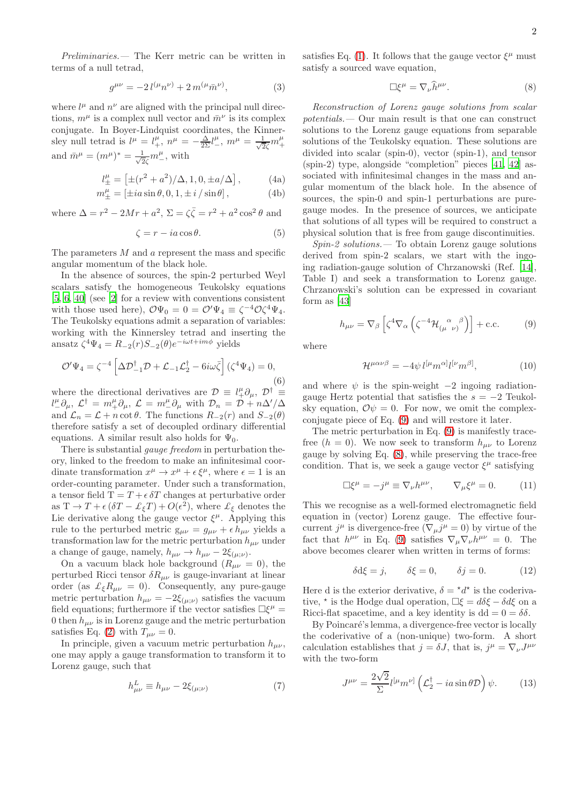Preliminaries.— The Kerr metric can be written in terms of a null tetrad,

$$
g^{\mu\nu} = -2 l^{(\mu} n^{\nu)} + 2 m^{(\mu} \bar{m}^{\nu)}, \tag{3}
$$

where  $l^{\mu}$  and  $n^{\nu}$  are aligned with the principal null directions,  $m^{\mu}$  is a complex null vector and  $\bar{m}^{\nu}$  is its complex conjugate. In Boyer-Lindquist coordinates, the Kinnersley null tetrad is  $l^{\mu} = l^{\mu}_{+}$ ,  $n^{\mu} = -\frac{\Delta}{2\Sigma}l^{\mu}_{-}$ ,  $m^{\mu} = \frac{1}{\sqrt{2}\bar{\zeta}}m^{\mu}_{+}$ and  $\bar{m}^{\mu} = (m^{\mu})^* = \frac{1}{\sqrt{2}}$  $\frac{1}{2\zeta}m^{\mu}_{-}$ , with

$$
l_{\pm}^{\mu} = \left[ \pm (r^2 + a^2) / \Delta, 1, 0, \pm a / \Delta \right],
$$
 (4a)

$$
m^{\mu}_{\pm} = \left[ \pm ia \sin \theta, 0, 1, \pm i / \sin \theta \right],\tag{4b}
$$

where  $\Delta = r^2 - 2Mr + a^2$ ,  $\Sigma = \zeta \overline{\zeta} = r^2 + a^2 \cos^2 \theta$  and

$$
\zeta = r - ia \cos \theta. \tag{5}
$$

The parameters  $M$  and  $a$  represent the mass and specific angular momentum of the black hole.

In the absence of sources, the spin-2 perturbed Weyl scalars satisfy the homogeneous Teukolsky equations [\[5,](#page-4-4) [6](#page-4-5), [40](#page-4-25)] (see [\[2](#page-4-1)] for a review with conventions consistent with those used here),  $\mathcal{O}\Psi_0 = 0 = \mathcal{O}'\Psi_4 \equiv \zeta^{-4}\mathcal{O}\zeta^4\Psi_4$ . The Teukolsky equations admit a separation of variables: working with the Kinnersley tetrad and inserting the ansatz  $\zeta^4 \Psi_4 = R_{-2}(r) S_{-2}(\theta) e^{-i\omega t + im\phi}$  yields

<span id="page-1-3"></span>
$$
\mathcal{O}'\Psi_4 = \zeta^{-4} \left[ \Delta \mathcal{D}_{-1}^{\dagger} \mathcal{D} + \mathcal{L}_{-1} \mathcal{L}_2^{\dagger} - 6i\omega \bar{\zeta} \right] (\zeta^4 \Psi_4) = 0,
$$
\n(6)

where the directional derivatives are  $\mathcal{D} \equiv l^{\mu}_{+} \partial_{\mu}, \mathcal{D}^{\dagger} \equiv l^{\mu}_{+} \partial_{\mu}$  $l_-^\mu \partial_\mu, \mathcal{L}^\dagger = m_+^\mu \partial_\mu, \mathcal{L} = m_-^\mu \partial_\mu$  with  $\mathcal{D}_n = \mathcal{D} + n\Delta'/\Delta$ and  $\mathcal{L}_n = \mathcal{L} + n \cot \theta$ . The functions  $R_{-2}(r)$  and  $S_{-2}(\theta)$ therefore satisfy a set of decoupled ordinary differential equations. A similar result also holds for  $\Psi_0$ .

There is substantial gauge freedom in perturbation theory, linked to the freedom to make an infinitesimal coordinate transformation  $x^{\mu} \to x^{\mu} + \epsilon \xi^{\mu}$ , where  $\epsilon = 1$  is an order-counting parameter. Under such a transformation, a tensor field  $T = T + \epsilon \delta T$  changes at perturbative order as  $T \to T + \epsilon (\delta T - \mathcal{L}_{\xi} T) + O(\epsilon^2)$ , where  $\mathcal{L}_{\xi}$  denotes the Lie derivative along the gauge vector  $\xi^{\mu}$ . Applying this rule to the perturbed metric  $g_{\mu\nu} = g_{\mu\nu} + \epsilon h_{\mu\nu}$  yields a transformation law for the metric perturbation  $h_{\mu\nu}$  under a change of gauge, namely,  $h_{\mu\nu} \to h_{\mu\nu} - 2\xi_{(\mu;\nu)}$ .

On a vacuum black hole background  $(R_{\mu\nu} = 0)$ , the perturbed Ricci tensor  $\delta R_{\mu\nu}$  is gauge-invariant at linear order (as  $\mathcal{L}_{\xi}R_{\mu\nu} = 0$ ). Consequently, any pure-gauge metric perturbation  $h_{\mu\nu} = -2\xi_{(\mu;\nu)}$  satisfies the vacuum field equations; furthermore if the vector satisfies  $\Box \xi^{\mu} =$ 0 then  $h_{\mu\nu}$  is in Lorenz gauge and the metric perturbation satisfies Eq. [\(2\)](#page-0-0) with  $T_{\mu\nu} = 0$ .

In principle, given a vacuum metric perturbation  $h_{\mu\nu}$ , one may apply a gauge transformation to transform it to Lorenz gauge, such that

<span id="page-1-4"></span>
$$
h_{\mu\nu}^L \equiv h_{\mu\nu} - 2\xi_{(\mu;\nu)}\tag{7}
$$

satisfies Eq. [\(1\)](#page-0-1). It follows that the gauge vector  $\xi^{\mu}$  must satisfy a sourced wave equation,

<span id="page-1-1"></span>
$$
\Box \xi^{\mu} = \nabla_{\nu} \hat{h}^{\mu \nu}.
$$
 (8)

Reconstruction of Lorenz gauge solutions from scalar potentials.— Our main result is that one can construct solutions to the Lorenz gauge equations from separable solutions of the Teukolsky equation. These solutions are divided into scalar (spin-0), vector (spin-1), and tensor (spin-2) type, alongside "completion" pieces [\[41,](#page-4-26) [42](#page-4-27)] associated with infinitesimal changes in the mass and angular momentum of the black hole. In the absence of sources, the spin-0 and spin-1 perturbations are puregauge modes. In the presence of sources, we anticipate that solutions of all types will be required to construct a physical solution that is free from gauge discontinuities.

 $Spin-2$  solutions.  $\qquad$  To obtain Lorenz gauge solutions derived from spin-2 scalars, we start with the ingoing radiation-gauge solution of Chrzanowski (Ref. [\[14\]](#page-4-11), Table I) and seek a transformation to Lorenz gauge. Chrzanowski's solution can be expressed in covariant form as [\[43\]](#page-4-28)

<span id="page-1-0"></span>
$$
h_{\mu\nu} = \nabla_{\beta} \left[ \zeta^4 \nabla_{\alpha} \left( \zeta^{-4} \mathcal{H}_{(\mu \ \nu)}^{\alpha}{}^{\beta} \right) \right] + \text{c.c.}
$$
 (9)

where

$$
\mathcal{H}^{\mu\alpha\nu\beta} = -4\psi \, l^{[\mu} m^{\alpha]} l^{[\nu} m^{\beta]},\tag{10}
$$

and where  $\psi$  is the spin-weight  $-2$  ingoing radiationgauge Hertz potential that satisfies the  $s = -2$  Teukolsky equation,  $\mathcal{O}\psi = 0$ . For now, we omit the complexconjugate piece of Eq. [\(9\)](#page-1-0) and will restore it later.

The metric perturbation in Eq. [\(9\)](#page-1-0) is manifestly tracefree  $(h = 0)$ . We now seek to transform  $h_{\mu\nu}$  to Lorenz gauge by solving Eq. [\(8\)](#page-1-1), while preserving the trace-free condition. That is, we seek a gauge vector  $\xi^{\mu}$  satisfying

$$
\Box \xi^{\mu} = -j^{\mu} \equiv \nabla_{\nu} h^{\mu \nu}, \qquad \nabla_{\mu} \xi^{\mu} = 0. \tag{11}
$$

This we recognise as a well-formed electromagnetic field equation in (vector) Lorenz gauge. The effective fourcurrent  $j^{\mu}$  is divergence-free  $(\nabla_{\mu} j^{\mu} = 0)$  by virtue of the fact that  $h^{\mu\nu}$  in Eq. [\(9\)](#page-1-0) satisfies  $\nabla_{\mu}\nabla_{\nu}h^{\mu\nu} = 0$ . The above becomes clearer when written in terms of forms:

<span id="page-1-2"></span>
$$
\delta d\xi = j, \qquad \delta \xi = 0, \qquad \delta j = 0. \tag{12}
$$

Here d is the exterior derivative,  $\delta = \star d^*$  is the coderivative,  $\star$  is the Hodge dual operation,  $\Box \xi = d\delta \xi - \delta d\xi$  on a Ricci-flat spacetime, and a key identity is dd =  $0 = \delta \delta$ .

By Poincaré's lemma, a divergence-free vector is locally the coderivative of a (non-unique) two-form. A short calculation establishes that  $j = \delta J$ , that is,  $j^{\mu} = \nabla_{\nu} J^{\mu\nu}$ with the two-form

$$
J^{\mu\nu} = \frac{2\sqrt{2}}{\Sigma} l^{[\mu} m^{\nu]} \left( \mathcal{L}_2^{\dagger} - ia \sin \theta \mathcal{D} \right) \psi. \tag{13}
$$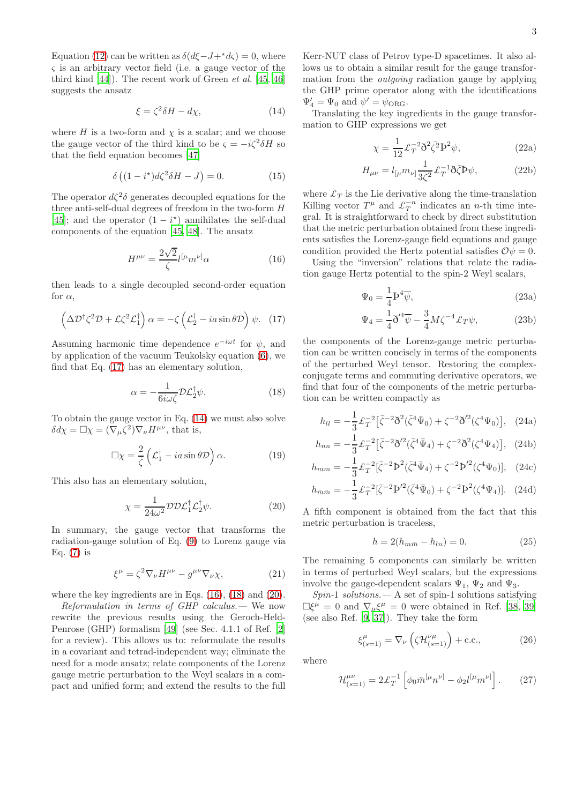Equation [\(12\)](#page-1-2) can be written as  $\delta(d\xi-J+\star d\zeta) = 0$ , where ς is an arbitrary vector field (i.e. a gauge vector of the third kind  $[44]$ . The recent work of Green *et al.*  $[45, 46]$  $[45, 46]$  $[45, 46]$  $[45, 46]$ suggests the ansatz

<span id="page-2-1"></span>
$$
\xi = \zeta^2 \delta H - d\chi,\tag{14}
$$

where H is a two-form and  $\chi$  is a scalar; and we choose the gauge vector of the third kind to be  $\varsigma = -i\zeta^2 \delta H$  so that the field equation becomes [\[47](#page-4-32)]

$$
\delta\left((1-i^*)d\zeta^2\delta H-J\right)=0.\tag{15}
$$

The operator  $d\zeta^2\delta$  generates decoupled equations for the three anti-self-dual degrees of freedom in the two-form H [\[45\]](#page-4-30); and the operator  $(1 - i^*)$  annihilates the self-dual components of the equation [\[45,](#page-4-30) [48\]](#page-4-33). The ansatz

<span id="page-2-2"></span>
$$
H^{\mu\nu} = \frac{2\sqrt{2}}{\zeta} l^{[\mu} m^{\nu]} \alpha \tag{16}
$$

then leads to a single decoupled second-order equation for  $\alpha$ ,

<span id="page-2-0"></span>
$$
\left(\Delta \mathcal{D}^{\dagger} \zeta^2 \mathcal{D} + \mathcal{L} \zeta^2 \mathcal{L}_1^{\dagger}\right) \alpha = -\zeta \left(\mathcal{L}_2^{\dagger} - ia \sin \theta \mathcal{D}\right) \psi. \tag{17}
$$

Assuming harmonic time dependence  $e^{-i\omega t}$  for  $\psi$ , and by application of the vacuum Teukolsky equation [\(6\)](#page-1-3), we find that Eq. [\(17\)](#page-2-0) has an elementary solution,

<span id="page-2-3"></span>
$$
\alpha = -\frac{1}{6i\omega\zeta} \mathcal{D}\mathcal{L}_2^{\dagger}\psi. \tag{18}
$$

To obtain the gauge vector in Eq. [\(14\)](#page-2-1) we must also solve  $\delta d\chi = \Box \chi = (\nabla_{\mu} \zeta^2) \nabla_{\nu} H^{\mu \nu}$ , that is,

$$
\Box \chi = \frac{2}{\zeta} \left( \mathcal{L}_1^\dagger - i a \sin \theta \mathcal{D} \right) \alpha. \tag{19}
$$

This also has an elementary solution,

<span id="page-2-4"></span>
$$
\chi = \frac{1}{24\omega^2} \mathcal{D} \mathcal{D} \mathcal{L}_1^{\dagger} \mathcal{L}_2^{\dagger} \psi.
$$
 (20)

In summary, the gauge vector that transforms the radiation-gauge solution of Eq. [\(9\)](#page-1-0) to Lorenz gauge via Eq. [\(7\)](#page-1-4) is

$$
\xi^{\mu} = \zeta^2 \nabla_{\nu} H^{\mu \nu} - g^{\mu \nu} \nabla_{\nu} \chi, \qquad (21)
$$

where the key ingredients are in Eqs. [\(16\)](#page-2-2), [\(18\)](#page-2-3) and [\(20\)](#page-2-4).

Reformulation in terms of GHP calculus.— We now rewrite the previous results using the Geroch-Held-Penrose (GHP) formalism [\[49](#page-4-34)] (see Sec. 4.1.1 of Ref. [\[2](#page-4-1)] for a review). This allows us to: reformulate the results in a covariant and tetrad-independent way; eliminate the need for a mode ansatz; relate components of the Lorenz gauge metric perturbation to the Weyl scalars in a compact and unified form; and extend the results to the full Kerr-NUT class of Petrov type-D spacetimes. It also allows us to obtain a similar result for the gauge transformation from the *outgoing* radiation gauge by applying the GHP prime operator along with the identifications  $\Psi_4' = \Psi_0$  and  $\psi' = \psi_{\text{ORG}}$ .

Translating the key ingredients in the gauge transformation to GHP expressions we get

$$
\chi = \frac{1}{12} \mathcal{L}_T^{-2} \mathfrak{d}^2 \bar{\zeta}^2 \mathfrak{d}^2 \psi, \qquad (22a)
$$

$$
H_{\mu\nu} = l_{\left[\mu} m_{\nu\right]} \frac{1}{3\zeta^2} \pounds_T^{-1} \eth \bar{\zeta} \Phi \psi, \tag{22b}
$$

where  $\mathcal{L}_T$  is the Lie derivative along the time-translation Killing vector  $T^{\mu}$  and  $\mathcal{L}_T^{-n}$  indicates an *n*-th time integral. It is straightforward to check by direct substitution that the metric perturbation obtained from these ingredients satisfies the Lorenz-gauge field equations and gauge condition provided the Hertz potential satisfies  $\mathcal{O}\psi = 0$ .

Using the "inversion" relations that relate the radiation gauge Hertz potential to the spin-2 Weyl scalars,

$$
\Psi_0 = \frac{1}{4} \mathbf{P}^4 \overline{\psi},\tag{23a}
$$

<span id="page-2-5"></span>
$$
\Psi_4 = \frac{1}{4}\mathfrak{d}'^4\overline{\psi} - \frac{3}{4}M\zeta^{-4}\pounds_T\psi,\tag{23b}
$$

the components of the Lorenz-gauge metric perturbation can be written concisely in terms of the components of the perturbed Weyl tensor. Restoring the complexconjugate terms and commuting derivative operators, we find that four of the components of the metric perturbation can be written compactly as

$$
h_{ll} = -\frac{1}{3} \mathcal{L}_T^{-2} \left[ \bar{\zeta}^{-2} \eth^2 (\bar{\zeta}^4 \bar{\Psi}_0) + \zeta^{-2} \eth'^2 (\zeta^4 \Psi_0) \right], \quad (24a)
$$

$$
h_{nn} = -\frac{1}{3} \mathcal{L}_T^{-2} \left[ \bar{\zeta}^{-2} \eth'^2 (\bar{\zeta}^4 \bar{\Psi}_4) + \zeta^{-2} \eth^2 (\zeta^4 \Psi_4) \right], \quad (24b)
$$

$$
h_{mm} = -\frac{1}{3} \mathcal{L}_T^{-2} [\bar{\zeta}^{-2} \mathbf{P}^2 (\bar{\zeta}^4 \bar{\Psi}_4) + \zeta^{-2} \mathbf{P}'^2 (\zeta^4 \Psi_0)], \quad (24c)
$$

$$
h_{\bar{m}\bar{m}} = -\frac{1}{3} \mathcal{L}_T^{-2} [\bar{\zeta}^{-2} \mathbf{p}^{\prime 2} (\bar{\zeta}^4 \bar{\Psi}_0) + \zeta^{-2} \mathbf{p}^2 (\zeta^4 \Psi_4)]. \tag{24d}
$$

A fifth component is obtained from the fact that this metric perturbation is traceless,

$$
h = 2(h_{m\bar{m}} - h_{ln}) = 0.
$$
 (25)

The remaining 5 components can similarly be written in terms of perturbed Weyl scalars, but the expressions involve the gauge-dependent scalars  $\Psi_1$ ,  $\Psi_2$  and  $\Psi_3$ .

 $Spin-1$  solutions.  $- A$  set of spin-1 solutions satisfying  $\Box \xi^{\mu} = 0$  and  $\nabla_{\mu} \xi^{\mu} = 0$  were obtained in Ref. [\[38,](#page-4-35) [39](#page-4-24)] (see also Ref. [\[9,](#page-4-8) [37\]](#page-4-23)). They take the form

$$
\xi_{(s=1)}^{\mu} = \nabla_{\nu} \left( \zeta \mathcal{H}_{(s=1)}^{\nu \mu} \right) + \text{c.c.},\tag{26}
$$

where

$$
\mathcal{H}_{(s=1)}^{\mu\nu} = 2\pounds_T^{-1} \left[ \phi_0 \bar{m}^{[\mu} n^{\nu]} - \phi_2 l^{[\mu} m^{\nu]} \right]. \tag{27}
$$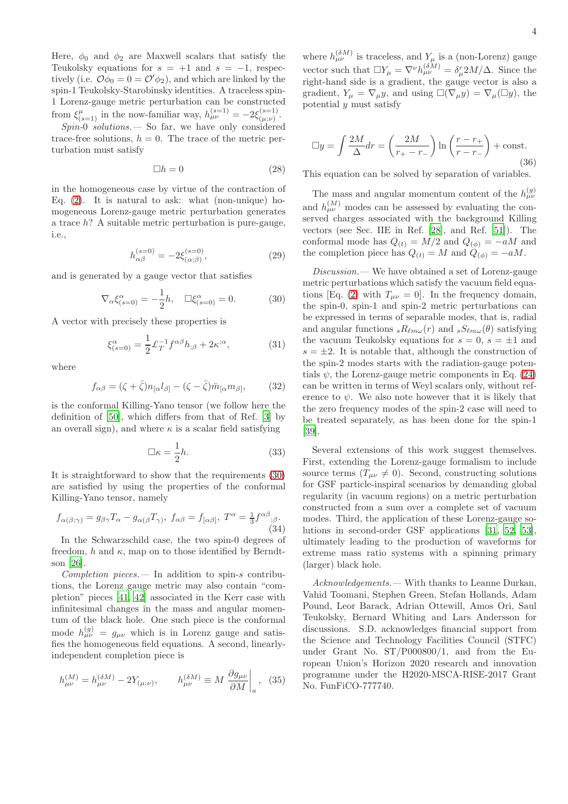Here,  $\phi_0$  and  $\phi_2$  are Maxwell scalars that satisfy the Teukolsky equations for  $s = +1$  and  $s = -1$ , respectively (i.e.  $\mathcal{O}\phi_0 = 0 = \mathcal{O}'\phi_2$ ), and which are linked by the spin-1 Teukolsky-Starobinsky identities. A traceless spin-1 Lorenz-gauge metric perturbation can be constructed from  $\xi_{(s=1)}^{\mu}$  in the now-familiar way,  $h_{\mu\nu}^{(s=1)} = -2\xi_{(\mu;\nu)}^{(s=1)}$  $\frac{(s-1)}{(\mu;\nu)}$ .

 $Spin-0$  solutions.  $\sim$  So far, we have only considered trace-free solutions,  $h = 0$ . The trace of the metric perturbation must satisfy

$$
\Box h = 0 \tag{28}
$$

in the homogeneous case by virtue of the contraction of Eq.  $(2)$ . It is natural to ask: what (non-unique) homogeneous Lorenz-gauge metric perturbation generates a trace h? A suitable metric perturbation is pure-gauge, i.e.,

$$
h_{\alpha\beta}^{(s=0)} = -2\xi_{(\alpha;\beta)}^{(s=0)},\tag{29}
$$

and is generated by a gauge vector that satisfies

<span id="page-3-0"></span>
$$
\nabla_{\alpha} \xi_{(s=0)}^{\alpha} = -\frac{1}{2}h, \quad \Box \xi_{(s=0)}^{\alpha} = 0. \tag{30}
$$

A vector with precisely these properties is

$$
\xi_{(s=0)}^{\alpha} = \frac{1}{2} \mathcal{L}_T^{-1} f^{\alpha\beta} h_{;\beta} + 2\kappa^{;\alpha},\tag{31}
$$

where

$$
f_{\alpha\beta} = (\zeta + \bar{\zeta})n_{[\alpha}l_{\beta]} - (\zeta - \bar{\zeta})\bar{m}_{[\alpha}m_{\beta]},
$$
 (32)

is the conformal Killing-Yano tensor (we follow here the definition of [\[50\]](#page-4-36), which differs from that of Ref. [\[3\]](#page-4-2) by an overall sign), and where  $\kappa$  is a scalar field satisfying

$$
\Box \kappa = \frac{1}{2}h. \tag{33}
$$

It is straightforward to show that the requirements [\(30\)](#page-3-0) are satisfied by using the properties of the conformal Killing-Yano tensor, namely

$$
f_{\alpha(\beta;\gamma)} = g_{\beta\gamma} T_{\alpha} - g_{\alpha(\beta} T_{\gamma)}, \ f_{\alpha\beta} = f_{[\alpha\beta]}, \ T^{\alpha} = \frac{1}{3} f^{\alpha\beta}{}_{;\beta}.
$$
\n(34)

In the Schwarzschild case, the two spin-0 degrees of freedom, h and  $\kappa$ , map on to those identified by Berndtson [\[26\]](#page-4-37).

 $Completion$  pieces.  $-$  In addition to spin-s contributions, the Lorenz gauge metric may also contain "completion" pieces [\[41,](#page-4-26) [42\]](#page-4-27) associated in the Kerr case with infinitesimal changes in the mass and angular momentum of the black hole. One such piece is the conformal mode  $h_{\mu\nu}^{(g)} = g_{\mu\nu}$  which is in Lorenz gauge and satisfies the homogeneous field equations. A second, linearlyindependent completion piece is

$$
h_{\mu\nu}^{(M)} = h_{\mu\nu}^{(\delta M)} - 2Y_{(\mu;\nu)}, \qquad h_{\mu\nu}^{(\delta M)} \equiv M \left. \frac{\partial g_{\mu\nu}}{\partial M} \right|_a, \tag{35}
$$

where  $h_{\mu\nu}^{(\delta M)}$  is traceless, and  $Y_\mu$  is a (non-Lorenz) gauge vector such that  $\Box Y_{\mu} = \nabla^{\nu} h_{\mu\nu}^{(\delta M)} = \delta_{\mu}^{r} 2M/\Delta$ . Since the right-hand side is a gradient, the gauge vector is also a gradient,  $Y_{\mu} = \nabla_{\mu} y$ , and using  $\square(\nabla_{\mu} y) = \nabla_{\mu} (\square y)$ , the potential  $y$  must satisfy

$$
\Box y = \int \frac{2M}{\Delta} dr = \left(\frac{2M}{r_+ - r_-}\right) \ln \left(\frac{r - r_+}{r - r_-}\right) + \text{const.}
$$
\n(36)

This equation can be solved by separation of variables.

The mass and angular momentum content of the  $h_{\mu\nu}^{(g)}$ and  $h_{\mu\nu}^{(M)}$  modes can be assessed by evaluating the conserved charges associated with the background Killing vectors (see Sec. IIE in Ref. [\[28\]](#page-4-38), and Ref. [\[51\]](#page-4-39)). The conformal mode has  $Q_{(t)} = M/2$  and  $Q_{(\phi)} = -aM$  and the completion piece has  $Q_{(t)} = M$  and  $Q_{(\phi)} = -aM$ .

Discussion.— We have obtained a set of Lorenz-gauge metric perturbations which satisfy the vacuum field equa-tions [Eq. [\(2\)](#page-0-0) with  $T_{\mu\nu} = 0$ ]. In the frequency domain, the spin-0, spin-1 and spin-2 metric perturbations can be expressed in terms of separable modes, that is, radial and angular functions  $sR_{\ell m\omega}(r)$  and  $sS_{\ell m\omega}(\theta)$  satisfying the vacuum Teukolsky equations for  $s = 0$ ,  $s = \pm 1$  and  $s = \pm 2$ . It is notable that, although the construction of the spin-2 modes starts with the radiation-gauge potentials  $\psi$ , the Lorenz-gauge metric components in Eq. [\(24\)](#page-2-5) can be written in terms of Weyl scalars only, without reference to  $\psi$ . We also note however that it is likely that the zero frequency modes of the spin-2 case will need to be treated separately, as has been done for the spin-1 [\[39\]](#page-4-24).

Several extensions of this work suggest themselves. First, extending the Lorenz-gauge formalism to include source terms  $(T_{\mu\nu} \neq 0)$ . Second, constructing solutions for GSF particle-inspiral scenarios by demanding global regularity (in vacuum regions) on a metric perturbation constructed from a sum over a complete set of vacuum modes. Third, the application of these Lorenz-gauge solutions in second-order GSF applications [\[31,](#page-4-19) [52,](#page-4-40) [53\]](#page-4-41), ultimately leading to the production of waveforms for extreme mass ratio systems with a spinning primary (larger) black hole.

Acknowledgements.— With thanks to Leanne Durkan, Vahid Toomani, Stephen Green, Stefan Hollands, Adam Pound, Leor Barack, Adrian Ottewill, Amos Ori, Saul Teukolsky, Bernard Whiting and Lars Andersson for discussions. S.D. acknowledges financial support from the Science and Technology Facilities Council (STFC) under Grant No. ST/P000800/1, and from the European Union's Horizon 2020 research and innovation programme under the H2020-MSCA-RISE-2017 Grant No. FunFiCO-777740.